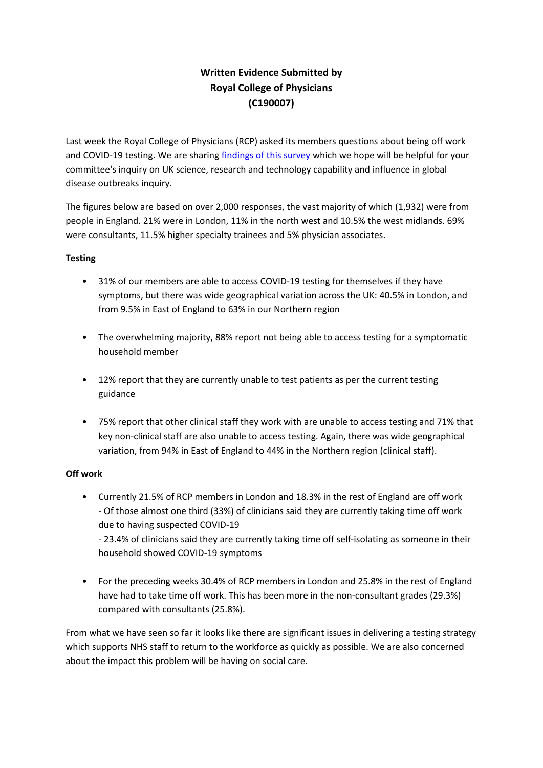## **Written Evidence Submitted by Royal College of Physicians (C190007)**

Last week the Royal College of Physicians (RCP) asked its members questions about being off work and COVID-19 testing. We are sharing [findings](https://www.rcplondon.ac.uk/news/covid-19-and-its-impact-nhs-workforce) [of](https://www.rcplondon.ac.uk/news/covid-19-and-its-impact-nhs-workforce) [this](https://www.rcplondon.ac.uk/news/covid-19-and-its-impact-nhs-workforce) [survey](https://www.rcplondon.ac.uk/news/covid-19-and-its-impact-nhs-workforce) which we hope will be helpful for your committee's inquiry on UK science, research and technology capability and influence in global disease outbreaks inquiry.

The figures below are based on over 2,000 responses, the vast majority of which (1,932) were from people in England. 21% were in London, 11% in the north west and 10.5% the west midlands. 69% were consultants, 11.5% higher specialty trainees and 5% physician associates.

### **Testing**

- 31% of our members are able to access COVID-19 testing for themselves if they have symptoms, but there was wide geographical variation across the UK: 40.5% in London, and from 9.5% in East of England to 63% in our Northern region
- The overwhelming majority, 88% report not being able to access testing for a symptomatic household member
- 12% report that they are currently unable to test patients as per the current testing guidance
- 75% report that other clinical staff they work with are unable to access testing and 71% that key non-clinical staff are also unable to access testing. Again, there was wide geographical variation, from 94% in East of England to 44% in the Northern region (clinical staff).

### **Off work**

• Currently 21.5% of RCP members in London and 18.3% in the rest of England are off work - Of those almost one third (33%) of clinicians said they are currently taking time off work due to having suspected COVID-19

- 23.4% of clinicians said they are currently taking time off self-isolating as someone in their household showed COVID-19 symptoms

• For the preceding weeks 30.4% of RCP members in London and 25.8% in the rest of England have had to take time off work. This has been more in the non-consultant grades (29.3%) compared with consultants (25.8%).

From what we have seen so far it looks like there are significant issues in delivering a testing strategy which supports NHS staff to return to the workforce as quickly as possible. We are also concerned about the impact this problem will be having on social care.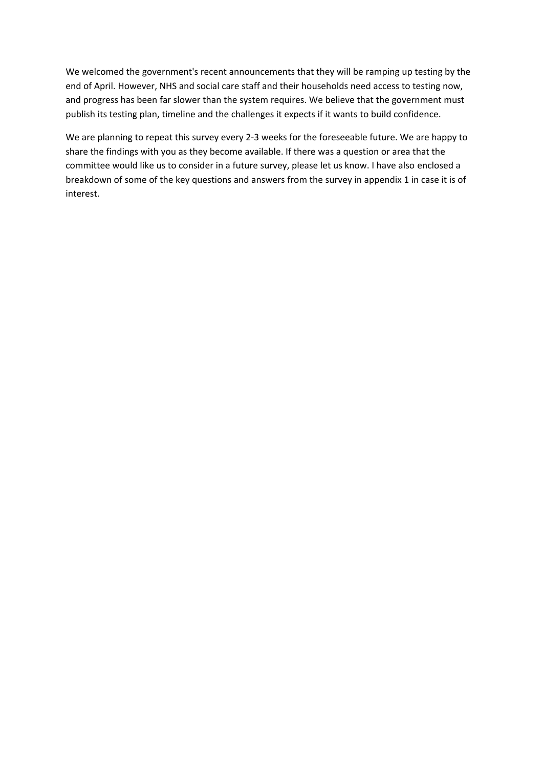We welcomed the government's recent announcements that they will be ramping up testing by the end of April. However, NHS and social care staff and their households need access to testing now, and progress has been far slower than the system requires. We believe that the government must publish its testing plan, timeline and the challenges it expects if it wants to build confidence.

We are planning to repeat this survey every 2-3 weeks for the foreseeable future. We are happy to share the findings with you as they become available. If there was a question or area that the committee would like us to consider in a future survey, please let us know. I have also enclosed a breakdown of some of the key questions and answers from the survey in appendix 1 in case it is of interest.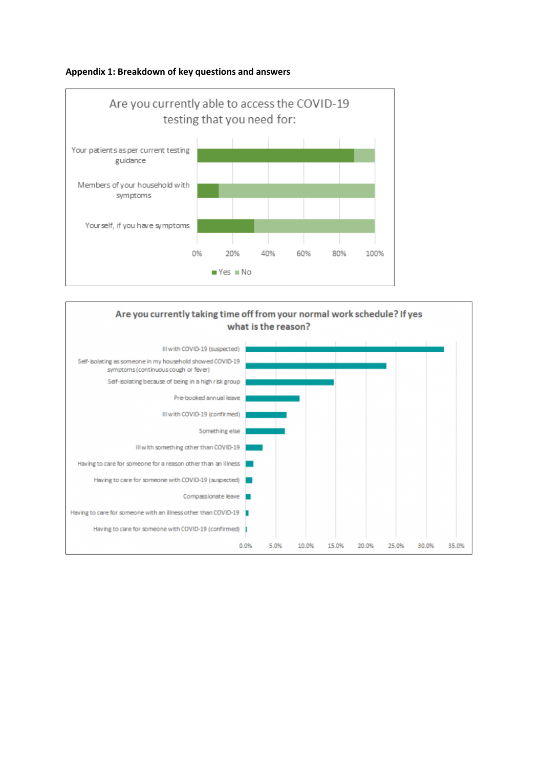#### **Appendix 1: Breakdown of key questions and answers**